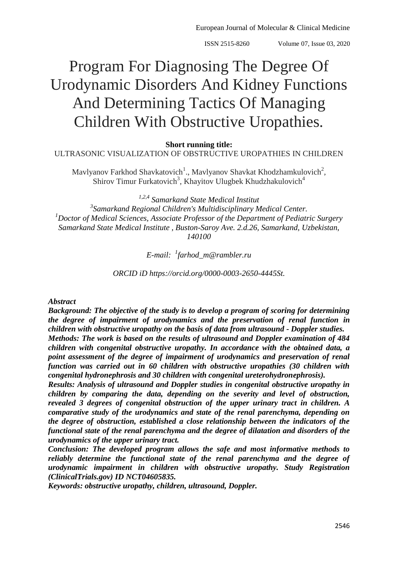# Program For Diagnosing The Degree Of Urodynamic Disorders And Kidney Functions And Determining Tactics Of Managing Children With Obstructive Uropathies.

#### **Short running title:**

ULTRASONIC VISUALIZATION OF OBSTRUCTIVE UROPATHIES IN CHILDREN

Mavlyanov Farkhod Shavkatovich<sup>1</sup>., Mavlyanov Shavkat Khodzhamkulovich<sup>2</sup>, Shirov Timur Furkatovich<sup>3</sup>, Khayitov Ulugbek Khudzhakulovich<sup>4</sup>

*1,2,4 Samarkand State Medical Institut 3 Samarkand Regional Children's Multidisciplinary Medical Center. <sup>1</sup>Doctor of Medical Sciences, Associate Professor of the Department of Pediatric Surgery Samarkand State Medical Institute , Buston-Saroy Ave. 2.d.26, Samarkand, Uzbekistan, 140100*

*E-mail: <sup>1</sup> [farhod\\_m@rambler.ru](mailto:1farhod_m@rambler.ru)*

*ORCID iD [https://orcid.org/0000-0003-2650-4445St.](https://orcid.org/0000-0003-2650-4445St)*

#### *Abstract*

*Background: The objective of the study is to develop a program of scoring for determining the degree of impairment of urodynamics and the preservation of renal function in children with obstructive uropathy on the basis of data from ultrasound - Doppler studies. Methods: The work is based on the results of ultrasound and Doppler examination of 484 children with congenital obstructive uropathy. In accordance with the obtained data, a* 

*point assessment of the degree of impairment of urodynamics and preservation of renal function was carried out in 60 children with obstructive uropathies (30 children with congenital hydronephrosis and 30 children with congenital ureterohydronephrosis).*

*Results: Analysis of ultrasound and Doppler studies in congenital obstructive uropathy in children by comparing the data, depending on the severity and level of obstruction, revealed 3 degrees of congenital obstruction of the upper urinary tract in children. A comparative study of the urodynamics and state of the renal parenchyma, depending on the degree of obstruction, established a close relationship between the indicators of the functional state of the renal parenchyma and the degree of dilatation and disorders of the urodynamics of the upper urinary tract.*

*Conclusion: The developed program allows the safe and most informative methods to reliably determine the functional state of the renal parenchyma and the degree of urodynamic impairment in children with obstructive uropathy. Study Registration (ClinicalTrials.gov) ID NCT04605835.*

*Keywords: obstructive uropathy, children, ultrasound, Doppler.*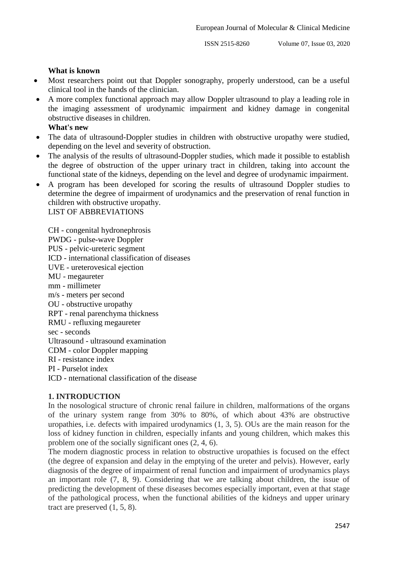#### **What is known**

- Most researchers point out that Doppler sonography, properly understood, can be a useful clinical tool in the hands of the clinician.
- A more complex functional approach may allow Doppler ultrasound to play a leading role in the imaging assessment of urodynamic impairment and kidney damage in congenital obstructive diseases in children.

#### **What's new**

- The data of ultrasound-Doppler studies in children with obstructive uropathy were studied, depending on the level and severity of obstruction.
- The analysis of the results of ultrasound-Doppler studies, which made it possible to establish the degree of obstruction of the upper urinary tract in children, taking into account the functional state of the kidneys, depending on the level and degree of urodynamic impairment.
- A program has been developed for scoring the results of ultrasound Doppler studies to determine the degree of impairment of urodynamics and the preservation of renal function in children with obstructive uropathy. LIST OF ABBREVIATIONS

CH - congenital hydronephrosis PWDG - pulse-wave Doppler PUS - pelvic-ureteric segment ICD - international classification of diseases UVE - ureterovesical ejection MU - megaureter mm - millimeter m/s - meters per second OU - obstructive uropathy RPT - renal parenchyma thickness RMU - refluxing megaureter sec - seconds Ultrasound - ultrasound examination CDM - color Doppler mapping RI - resistance index PI - Purselot index ICD - nternational classification of the disease

#### **1. INTRODUCTION**

In the nosological structure of chronic renal failure in children, malformations of the organs of the urinary system range from 30% to 80%, of which about 43% are obstructive uropathies, i.e. defects with impaired urodynamics (1, 3, 5). OUs are the main reason for the loss of kidney function in children, especially infants and young children, which makes this problem one of the socially significant ones (2, 4, 6).

The modern diagnostic process in relation to obstructive uropathies is focused on the effect (the degree of expansion and delay in the emptying of the ureter and pelvis). However, early diagnosis of the degree of impairment of renal function and impairment of urodynamics plays an important role (7, 8, 9). Considering that we are talking about children, the issue of predicting the development of these diseases becomes especially important, even at that stage of the pathological process, when the functional abilities of the kidneys and upper urinary tract are preserved (1, 5, 8).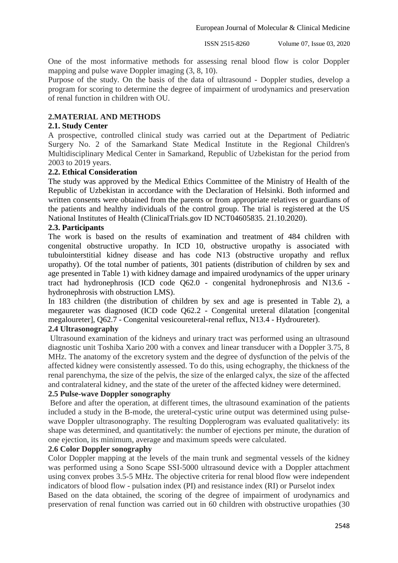European Journal of Molecular & Clinical Medicine

ISSN 2515-8260 Volume 07, Issue 03, 2020

One of the most informative methods for assessing renal blood flow is color Doppler mapping and pulse wave Doppler imaging (3, 8, 10).

Purpose of the study. On the basis of the data of ultrasound - Doppler studies, develop a program for scoring to determine the degree of impairment of urodynamics and preservation of renal function in children with OU.

#### **2.MATERIAL AND METHODS**

#### **2.1. Study Center**

A prospective, controlled clinical study was carried out at the Department of Pediatric Surgery No. 2 of the Samarkand State Medical Institute in the Regional Children's Multidisciplinary Medical Center in Samarkand, Republic of Uzbekistan for the period from 2003 to 2019 years.

#### **2.2. Ethical Consideration**

The study was approved by the Medical Ethics Committee of the Ministry of Health of the Republic of Uzbekistan in accordance with the Declaration of Helsinki. Both informed and written consents were obtained from the parents or from appropriate relatives or guardians of the patients and healthy individuals of the control group. The trial is registered at the US National Institutes of Health (ClinicalTrials.gov ID NCT04605835. 21.10.2020).

#### **2.3. Participants**

The work is based on the results of examination and treatment of 484 children with congenital obstructive uropathy. In ICD 10, obstructive uropathy is associated with tubulointerstitial kidney disease and has code N13 (obstructive uropathy and reflux uropathy). Of the total number of patients, 301 patients (distribution of children by sex and age presented in Table 1) with kidney damage and impaired urodynamics of the upper urinary tract had hydronephrosis (ICD code Q62.0 - congenital hydronephrosis and N13.6 hydronephrosis with obstruction LMS).

In 183 children (the distribution of children by sex and age is presented in Table 2), a megaureter was diagnosed (ICD code Q62.2 - Congenital ureteral dilatation [congenital megaloureter], Q62.7 - Congenital vesicoureteral-renal reflux, N13.4 - Hydroureter).

#### **2.4 Ultrasonography**

Ultrasound examination of the kidneys and urinary tract was performed using an ultrasound diagnostic unit Toshiba Xario 200 with a convex and linear transducer with a Doppler 3.75, 8 MHz. The anatomy of the excretory system and the degree of dysfunction of the pelvis of the affected kidney were consistently assessed. To do this, using echography, the thickness of the renal parenchyma, the size of the pelvis, the size of the enlarged calyx, the size of the affected and contralateral kidney, and the state of the ureter of the affected kidney were determined.

#### **2.5 Pulse-wave Doppler sonography**

Before and after the operation, at different times, the ultrasound examination of the patients included a study in the B-mode, the ureteral-cystic urine output was determined using pulsewave Doppler ultrasonography. The resulting Dopplerogram was evaluated qualitatively: its shape was determined, and quantitatively: the number of ejections per minute, the duration of one ejection, its minimum, average and maximum speeds were calculated.

#### **2.6 Color Doppler sonography**

Color Doppler mapping at the levels of the main trunk and segmental vessels of the kidney was performed using a Sono Scape SSI-5000 ultrasound device with a Doppler attachment using convex probes 3.5-5 MHz. The objective criteria for renal blood flow were independent indicators of blood flow - pulsation index (PI) and resistance index (RI) or Purselot index Based on the data obtained, the scoring of the degree of impairment of urodynamics and preservation of renal function was carried out in 60 children with obstructive uropathies (30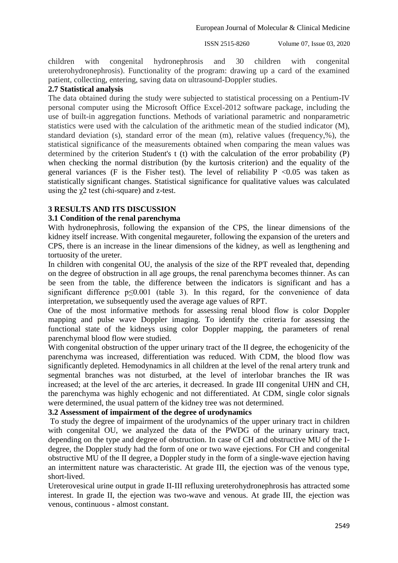children with congenital hydronephrosis and 30 children with congenital ureterohydronephrosis). Functionality of the program: drawing up a card of the examined patient, collecting, entering, saving data on ultrasound-Doppler studies.

#### **2.7 Statistical analysis**

The data obtained during the study were subjected to statistical processing on a Pentium-IV personal computer using the Microsoft Office Excel-2012 software package, including the use of built-in aggregation functions. Methods of variational parametric and nonparametric statistics were used with the calculation of the arithmetic mean of the studied indicator (M), standard deviation (s), standard error of the mean (m), relative values (frequency,%), the statistical significance of the measurements obtained when comparing the mean values was determined by the criterion Student's t (t) with the calculation of the error probability (P) when checking the normal distribution (by the kurtosis criterion) and the equality of the general variances (F is the Fisher test). The level of reliability  $P < 0.05$  was taken as statistically significant changes. Statistical significance for qualitative values was calculated using the  $\gamma$ 2 test (chi-square) and z-test.

# **3 RESULTS AND ITS DISCUSSION**

## **3.1 Сondition of the renal parenchyma**

With hydronephrosis, following the expansion of the СPS, the linear dimensions of the kidney itself increase. With congenital megaureter, following the expansion of the ureters and CPS, there is an increase in the linear dimensions of the kidney, as well as lengthening and tortuosity of the ureter.

In children with congenital OU, the analysis of the size of the RPT revealed that, depending on the degree of obstruction in all age groups, the renal parenchyma becomes thinner. As can be seen from the table, the difference between the indicators is significant and has a significant difference p<0.001 (table 3). In this regard, for the convenience of data interpretation, we subsequently used the average age values of RPT.

One of the most informative methods for assessing renal blood flow is color Doppler mapping and pulse wave Doppler imaging. To identify the criteria for assessing the functional state of the kidneys using color Doppler mapping, the parameters of renal parenchymal blood flow were studied.

With congenital obstruction of the upper urinary tract of the II degree, the echogenicity of the parenchyma was increased, differentiation was reduced. With CDM, the blood flow was significantly depleted. Hemodynamics in all children at the level of the renal artery trunk and segmental branches was not disturbed, at the level of interlobar branches the IR was increased; at the level of the arc arteries, it decreased. In grade III congenital UHN and CH, the parenchyma was highly echogenic and not differentiated. At CDM, single color signals were determined, the usual pattern of the kidney tree was not determined.

## **3.2 Assessment of impairment of the degree of urodynamics**

To study the degree of impairment of the urodynamics of the upper urinary tract in children with congenital OU, we analyzed the data of the PWDG of the urinary urinary tract, depending on the type and degree of obstruction. In case of CH and obstructive MU of the Idegree, the Doppler study had the form of one or two wave ejections. For CH and congenital obstructive MU of the II degree, a Doppler study in the form of a single-wave ejection having an intermittent nature was characteristic. At grade III, the ejection was of the venous type, short-lived.

Ureterovesical urine output in grade II-III refluxing ureterohydronephrosis has attracted some interest. In grade II, the ejection was two-wave and venous. At grade III, the ejection was venous, continuous - almost constant.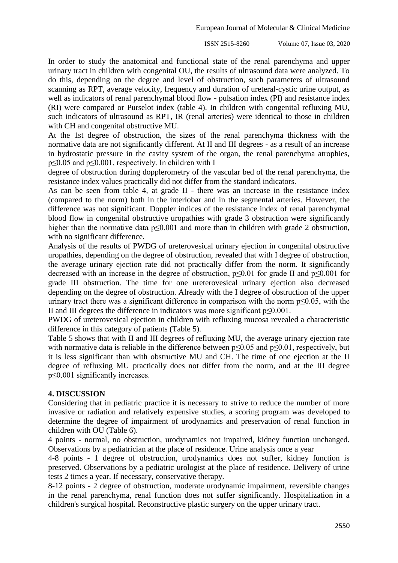In order to study the anatomical and functional state of the renal parenchyma and upper urinary tract in children with congenital OU, the results of ultrasound data were analyzed. To do this, depending on the degree and level of obstruction, such parameters of ultrasound scanning as RPT, average velocity, frequency and duration of ureteral-cystic urine output, as well as indicators of renal parenchymal blood flow - pulsation index (PI) and resistance index (RI) were compared or Purselot index (table 4). In children with congenital refluxing MU, such indicators of ultrasound as RPT, IR (renal arteries) were identical to those in children with CH and congenital obstructive MU.

At the 1st degree of obstruction, the sizes of the renal parenchyma thickness with the normative data are not significantly different. At II and III degrees - as a result of an increase in hydrostatic pressure in the cavity system of the organ, the renal parenchyma atrophies, p≤0.05 and p≤0.001, respectively. In children with I

degree of obstruction during dopplerometry of the vascular bed of the renal parenchyma, the resistance index values practically did not differ from the standard indicators.

As can be seen from table 4, at grade II - there was an increase in the resistance index (compared to the norm) both in the interlobar and in the segmental arteries. However, the difference was not significant. Doppler indices of the resistance index of renal parenchymal blood flow in congenital obstructive uropathies with grade 3 obstruction were significantly higher than the normative data p≤0.001 and more than in children with grade 2 obstruction, with no significant difference.

Analysis of the results of PWDG of ureterovesical urinary ejection in congenital obstructive uropathies, depending on the degree of obstruction, revealed that with I degree of obstruction, the average urinary ejection rate did not practically differ from the norm. It significantly decreased with an increase in the degree of obstruction, p≤0.01 for grade II and p≤0.001 for grade III obstruction. The time for one ureterovesical urinary ejection also decreased depending on the degree of obstruction. Already with the I degree of obstruction of the upper urinary tract there was a significant difference in comparison with the norm  $p \le 0.05$ , with the II and III degrees the difference in indicators was more significant p≤0.001.

PWDG of ureterovesical ejection in children with refluxing mucosa revealed a characteristic difference in this category of patients (Table 5).

Table 5 shows that with II and III degrees of refluxing MU, the average urinary ejection rate with normative data is reliable in the difference between  $p≤0.05$  and  $p≤0.01$ , respectively, but it is less significant than with obstructive MU and CH. The time of one ejection at the II degree of refluxing MU practically does not differ from the norm, and at the III degree p≤0.001 significantly increases.

## **4. DISCUSSION**

Considering that in pediatric practice it is necessary to strive to reduce the number of more invasive or radiation and relatively expensive studies, a scoring program was developed to determine the degree of impairment of urodynamics and preservation of renal function in children with OU (Table 6).

4 points - normal, no obstruction, urodynamics not impaired, kidney function unchanged. Observations by a pediatrician at the place of residence. Urine analysis once a year

4-8 points - 1 degree of obstruction, urodynamics does not suffer, kidney function is preserved. Observations by a pediatric urologist at the place of residence. Delivery of urine tests 2 times a year. If necessary, conservative therapy.

8-12 points - 2 degree of obstruction, moderate urodynamic impairment, reversible changes in the renal parenchyma, renal function does not suffer significantly. Hospitalization in a children's surgical hospital. Reconstructive plastic surgery on the upper urinary tract.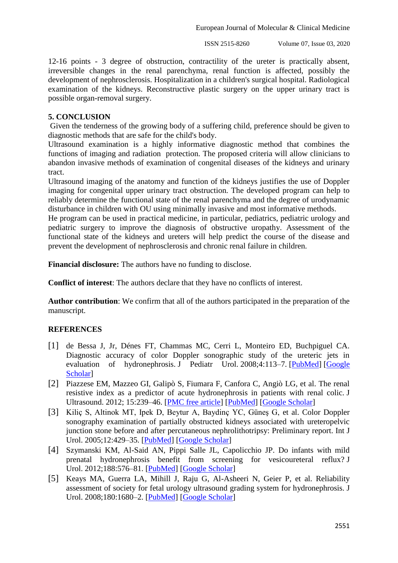12-16 points - 3 degree of obstruction, contractility of the ureter is practically absent, irreversible changes in the renal parenchyma, renal function is affected, possibly the development of nephrosclerosis. Hospitalization in a children's surgical hospital. Radiological examination of the kidneys. Reconstructive plastic surgery on the upper urinary tract is possible organ-removal surgery.

## **5. CONCLUSION**

Given the tenderness of the growing body of a suffering child, preference should be given to diagnostic methods that are safe for the child's body.

Ultrasound examination is a highly informative diagnostic method that combines the functions of imaging and radiation protection. The proposed criteria will allow clinicians to abandon invasive methods of examination of congenital diseases of the kidneys and urinary tract.

Ultrasound imaging of the anatomy and function of the kidneys justifies the use of Doppler imaging for congenital upper urinary tract obstruction. The developed program can help to reliably determine the functional state of the renal parenchyma and the degree of urodynamic disturbance in children with OU using minimally invasive and most informative methods.

He program can be used in practical medicine, in particular, pediatrics, pediatric urology and pediatric surgery to improve the diagnosis of obstructive uropathy. Assessment of the functional state of the kidneys and ureters will help predict the course of the disease and prevent the development of nephrosclerosis and chronic renal failure in children.

**Financial disclosure:** The authors have no funding to disclose.

**Conflict of interest**: The authors declare that they have no conflicts of interest.

**Author contribution**: We confirm that all of the authors participated in the preparation of the manuscript.

# **REFERENCES**

- [1] de Bessa J, Jr, Dénes FT, Chammas MC, Cerri L, Monteiro ED, Buchpiguel CA. Diagnostic accuracy of color Doppler sonographic study of the ureteric jets in evaluation of hydronephrosis. J Pediatr Urol. 2008;4:113–7. [\[PubMed\]](https://www.ncbi.nlm.nih.gov/pubmed/18631905) [Google [Scholar\]](https://scholar.google.com/scholar_lookup?journal=J+Pediatr+Urol&title=Diagnostic+accuracy+of+color+Doppler+sonographic+study+of+the+ureteric+jets+in+evaluation+of+hydronephrosis&author=J+de+Bessa&author=FT+D%C3%A9nes&author=MC+Chammas&author=L+Cerri&author=ED+Monteiro&volume=4&publication_year=2008&pages=113-7&pmid=18631905&)
- [2] Piazzese EM, Mazzeo GI, Galipò S, Fiumara F, Canfora C, Angiò LG, et al. The renal resistive index as a predictor of acute hydronephrosis in patients with renal colic. J Ultrasound. 2012; 15:239–46. [\[PMC free article\]](https://www.ncbi.nlm.nih.gov/pmc/articles/PMC3558079/) [\[PubMed\]](https://www.ncbi.nlm.nih.gov/pubmed/23730388) [\[Google Scholar\]](https://scholar.google.com/scholar_lookup?journal=J+Ultrasound&title=The+renal+resistive+index+as+a+predictor+of+acute+hydronephrosis+in+patients+with+renal+colic&author=EM+Piazzese&author=GI+Mazzeo&author=S+Galip%C3%B2&author=F+Fiumara&author=C+Canfora&volume=15&publication_year=2012&pages=239-46&pmid=23730388&)
- [3] Kiliç S, Altinok MT, Ipek D, Beytur A, Baydinç YC, Güneş G, et al. Color Doppler sonography examination of partially obstructed kidneys associated with ureteropelvic junction stone before and after percutaneous nephrolithotripsy: Preliminary report. Int J Urol. 2005;12:429–35. [\[PubMed\]](https://www.ncbi.nlm.nih.gov/pubmed/15948740) [\[Google Scholar\]](https://scholar.google.com/scholar_lookup?journal=Int+J+Urol&title=Color+Doppler+sonography+examination+of+partially+obstructed+kidneys+associated+with+ureteropelvic+junction+stone+before+and+after+percutaneous+nephrolithotripsy:+Preliminary+report&author=S+Kili%C3%A7&author=MT+Altinok&author=D+Ipek&author=A+Beytur&author=YC+Baydin%C3%A7&volume=12&publication_year=2005&pages=429-35&pmid=15948740&)
- [4] Szymanski KM, Al-Said AN, Pippi Salle JL, Capolicchio JP. Do infants with mild prenatal hydronephrosis benefit from screening for vesicoureteral reflux? J Urol. 2012;188:576–81. [\[PubMed\]](https://www.ncbi.nlm.nih.gov/pubmed/22704090) [\[Google Scholar\]](https://scholar.google.com/scholar_lookup?journal=J+Urol&title=Do+infants+with+mild+prenatal+hydronephrosis+benefit+from+screening+for+vesicoureteral+reflux?&author=KM+Szymanski&author=AN+Al-Said&author=JL+Pippi+Salle&author=JP+Capolicchio&volume=188&publication_year=2012&pages=576-81&pmid=22704090&)
- [5] Keays MA, Guerra LA, Mihill J, Raju G, Al-Asheeri N, Geier P, et al. Reliability assessment of society for fetal urology ultrasound grading system for hydronephrosis. J Urol. 2008;180:1680–2. [\[PubMed\]](https://www.ncbi.nlm.nih.gov/pubmed/18708207) [\[Google Scholar\]](https://scholar.google.com/scholar_lookup?journal=J+Urol&title=Reliability+assessment+of+society+for+fetal+urology+ultrasound+grading+system+for+hydronephrosis&author=MA+Keays&author=LA+Guerra&author=J+Mihill&author=G+Raju&author=N+Al-Asheeri&volume=180&publication_year=2008&pages=1680-2&pmid=18708207&)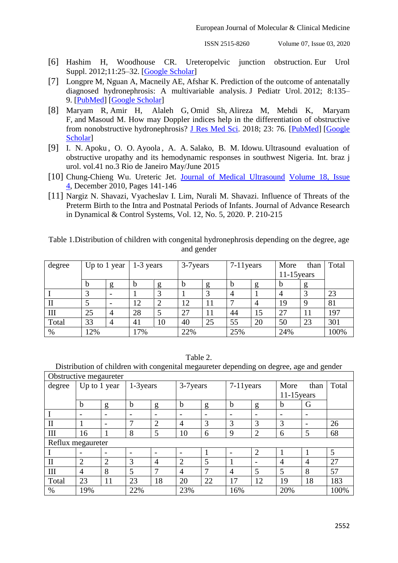- [6] Hashim H, Woodhouse CR. Ureteropelvic junction obstruction. Eur Urol Suppl. 2012;11:25–32. [\[Google Scholar\]](https://scholar.google.com/scholar_lookup?journal=Eur+Urol+Suppl&title=Ureteropelvic+junction+obstruction&author=H+Hashim&author=CR+Woodhouse&volume=11&publication_year=2012&pages=25-32&)
- [7] Longpre M, Nguan A, Macneily AE, Afshar K. Prediction of the outcome of antenatally diagnosed hydronephrosis: A multivariable analysis. J Pediatr Urol. 2012; 8:135– 9. [\[PubMed\]](https://www.ncbi.nlm.nih.gov/pubmed/21683656) [\[Google Scholar\]](https://scholar.google.com/scholar_lookup?journal=J+Pediatr+Urol&title=Prediction+of+the+outcome+of+antenatally+diagnosed+hydronephrosis:+A+multivariable+analysis&author=M+Longpre&author=A+Nguan&author=AE+Macneily&author=K+Afshar&volume=8&publication_year=2012&pages=135-9&pmid=21683656&)
- [8] Maryam R, Amir H, Alaleh G, Omid Sh, Alireza M, Mehdi K, Maryam F, and Masoud M. How may Doppler indices help in the differentiation of obstructive from nonobstructive hydronephrosis? [J Res Med Sci.](https://www.ncbi.nlm.nih.gov/pmc/articles/PMC6116660/) 2018; 23: 76. [\[PubMed\]](https://www.ncbi.nlm.nih.gov/pubmed/21683656) [\[Google](https://scholar.google.com/scholar_lookup?journal=J+Pediatr+Urol&title=Prediction+of+the+outcome+of+antenatally+diagnosed+hydronephrosis:+A+multivariable+analysis&author=M+Longpre&author=A+Nguan&author=AE+Macneily&author=K+Afshar&volume=8&publication_year=2012&pages=135-9&pmid=21683656&)  [Scholar\]](https://scholar.google.com/scholar_lookup?journal=J+Pediatr+Urol&title=Prediction+of+the+outcome+of+antenatally+diagnosed+hydronephrosis:+A+multivariable+analysis&author=M+Longpre&author=A+Nguan&author=AE+Macneily&author=K+Afshar&volume=8&publication_year=2012&pages=135-9&pmid=21683656&)
- [9] I. N. Apoku , O. O. Ayoola , A. A. Salako, B. M. Idowu. Ultrasound evaluation of obstructive uropathy and its hemodynamic responses in southwest Nigeria. Int. braz j urol. vol.41 no.3 Rio de Janeiro May/June 2015
- [10] [Chung-Chieng Wu.](https://www.sciencedirect.com/science/article/pii/S0929644110000056#!) Ureteric Jet. [Journal of Medical Ultrasound](https://www.sciencedirect.com/science/journal/09296441) Volume 18, Issue [4,](https://www.sciencedirect.com/science/journal/09296441/18/4) December 2010, Pages 141-146
- [11] Nargiz N. Shavazi, Vyacheslav I. Lim, Nurali M. Shavazi. Influence of Threats of the Preterm Birth to the Intra and Postnatal Periods of Infants. Journal of Advance Research in Dynamical & Control Systems, Vol. 12, No. 5, 2020. P. 210-215

| Table 1. Distribution of children with congenital hydronephrosis depending on the degree, age |            |  |
|-----------------------------------------------------------------------------------------------|------------|--|
|                                                                                               | and gender |  |

| degree | Up to 1 year  |   | 1-3 years |    | 3-7 years |    | $7-11$ years   |    | More          | than | Total |
|--------|---------------|---|-----------|----|-----------|----|----------------|----|---------------|------|-------|
|        |               |   |           |    |           |    |                |    | $11-15$ years |      |       |
|        | $\mathfrak b$ | g | b         | g  | b         |    | b              | g  | D             |      |       |
|        | 3             |   |           |    |           |    | $\overline{4}$ |    |               |      | 23    |
| П      |               |   | 12        |    | 12        | 11 |                |    | 19            |      | 81    |
| Ш      | 25            | 4 | 28        |    | 27        | 11 | 44             | 15 | 27            |      | 197   |
| Total  | 33            | 4 | 41        | 10 | 40        | 25 | 55             | 20 | 50            | 23   | 301   |
| %      | 12%           |   | 17%       |    | 22%       |    | 25%            |    | 24%           |      | 100%  |

Table 2.

Distribution of children with congenital megaureter depending on degree, age and gender

| Obstructive megaureter |                          |                          |           |                |                |    |              |                |                |                          |       |
|------------------------|--------------------------|--------------------------|-----------|----------------|----------------|----|--------------|----------------|----------------|--------------------------|-------|
| degree                 | Up to 1 year             |                          | 1-3 years |                | 3-7 years      |    | $7-11$ years |                | More           | than                     | Total |
|                        |                          |                          |           |                |                |    |              | $11-15$ years  |                |                          |       |
|                        | $\mathbf b$              | g                        | b         | g              | $\mathbf b$    | g  | b            | g              | b              | G                        |       |
|                        | $\overline{\phantom{0}}$ | $\overline{\phantom{a}}$ |           |                |                |    |              |                |                | $\overline{\phantom{a}}$ |       |
| $\mathbf{I}$           |                          | $\overline{\phantom{0}}$ | 7         | 2              | $\overline{A}$ | 3  | 3            | 3              | 3              | $\overline{\phantom{0}}$ | 26    |
| Ш                      | 16                       |                          | 8         | 5              | 10             | 6  | 9            | $\overline{2}$ | 6              | 5                        | 68    |
| Reflux megaureter      |                          |                          |           |                |                |    |              |                |                |                          |       |
|                        |                          | $\overline{\phantom{0}}$ |           |                |                |    |              | $\overline{2}$ |                |                          | 5     |
| $\mathbf{I}$           | 2                        | 2                        | 3         | $\overline{4}$ | $\overline{2}$ | 5  |              |                | $\overline{4}$ | $\overline{4}$           | 27    |
| Ш                      | $\overline{4}$           | 8                        | 5         | 7              | $\overline{4}$ | 7  | 4            | 5              | 5              | 8                        | 57    |
| Total                  | 23                       | 11                       | 23        | 18             | 20             | 22 | 17           | 12             | 19             | 18                       | 183   |
| $\%$                   | 19%                      |                          | 22%       |                | 23%            |    | 16%          |                | 20%            |                          | 100%  |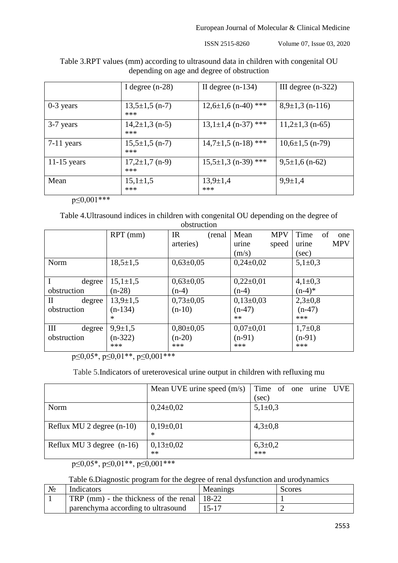European Journal of Molecular & Clinical Medicine

ISSN 2515-8260 Volume 07, Issue 03, 2020

|               | I degree $(n-28)$           | II degree $(n-134)$     | III degree $(n-322)$  |
|---------------|-----------------------------|-------------------------|-----------------------|
| $0-3$ years   | $13,5\pm1,5$ (n-7)<br>***   | $12,6\pm1,6$ (n-40) *** | $8,9\pm1,3$ (n-116)   |
| 3-7 years     | $14,2\pm 1,3$ (n-5)<br>***  | $13,1\pm1,4$ (n-37) *** | $11,2\pm1,3$ (n-65)   |
| $7-11$ years  | $15,5\pm1,5$ (n-7)<br>***   | $14,7\pm1,5$ (n-18) *** | $10,6{\pm}1,5$ (n-79) |
| $11-15$ years | $17,2{\pm}1,7$ (n-9)<br>*** | $15,5\pm1,3$ (n-39) *** | $9,5\pm1,6$ (n-62)    |
| Mean          | $15,1{\pm}1,5$<br>***       | $13,9 \pm 1,4$<br>***   | $9,9 \pm 1,4$         |

Тable 3.RPT values (mm) according to ultrasound data in children with congenital OU depending on age and degree of obstruction

 $p \leq 0,001$ \*\*\*

Table 4.Ultrasound indices in children with congenital OU depending on the degree of obstruction

|                       |                | ovou uvuvu             |                    |                     |
|-----------------------|----------------|------------------------|--------------------|---------------------|
|                       | $RPT$ (mm)     | $_{\rm IR}$<br>(renal) | <b>MPV</b><br>Mean | Time<br>of<br>one   |
|                       |                | arteries)              | speed<br>urine     | <b>MPV</b><br>urine |
|                       |                |                        | (m/s)              | $(\sec)$            |
| Norm                  | $18,5 \pm 1,5$ | $0,63{\pm}0,05$        | $0,24\pm0,02$      | $5,1\pm0,3$         |
|                       |                |                        |                    |                     |
| $\mathbf I$<br>degree | $15,1{\pm}1,5$ | $0,63{\pm}0,05$        | $0,22\pm0,01$      | $4,1\pm0,3$         |
| obstruction           | $(n-28)$       | $(n-4)$                | $(n-4)$            | $(n-4)*$            |
| $\rm{II}$<br>degree   | $13,9 \pm 1,5$ | $0,73\pm0,05$          | $0,13\pm0,03$      | $2,3 \pm 0.8$       |
| obstruction           | $(n-134)$      | $(n-10)$               | $(n-47)$           | $(n-47)$            |
|                       | *              |                        | $**$               | ***                 |
| Ш<br>degree           | $9,9 \pm 1,5$  | $0,80\pm0,05$          | $0,07\pm0,01$      | $1,7+0,8$           |
| obstruction           | $(n-322)$      | $(n-20)$               | $(n-91)$           | $(n-91)$            |
|                       | ***            | ***                    | ***                | ***                 |

 $p \leq 0.05^*$ ,  $p \leq 0.01^{**}$ ,  $p \leq 0.001^{***}$ 

Table 5.Indicators of ureterovesical urine output in children with refluxing mu

|                             | Mean UVE urine speed $(m/s)$ | Time of one urine UVE |
|-----------------------------|------------------------------|-----------------------|
|                             |                              | $(\sec)$              |
| Norm                        | $0,24\pm0,02$                | $5,1\pm0,3$           |
| Reflux MU 2 degree $(n-10)$ | $0,19\pm0,01$<br>$\ast$      | $4,3 \pm 0,8$         |
| Reflux MU 3 degree $(n-16)$ | $0,13\pm0,02$<br>$**$        | $6,3{\pm}0,2$<br>***  |

 $p \leq 0.05^*$ ,  $p \leq 0.01^{**}$ ,  $p \leq 0.001^{***}$ 

## Table 6.Diagnostic program for the degree of renal dysfunction and urodynamics

| $N_2$ | Indicators                                    | Meanings  | <b>Scores</b> |
|-------|-----------------------------------------------|-----------|---------------|
|       | TRP (mm) - the thickness of the renal   18-22 |           |               |
|       | parenchyma according to ultrasound            | $15 - 17$ |               |